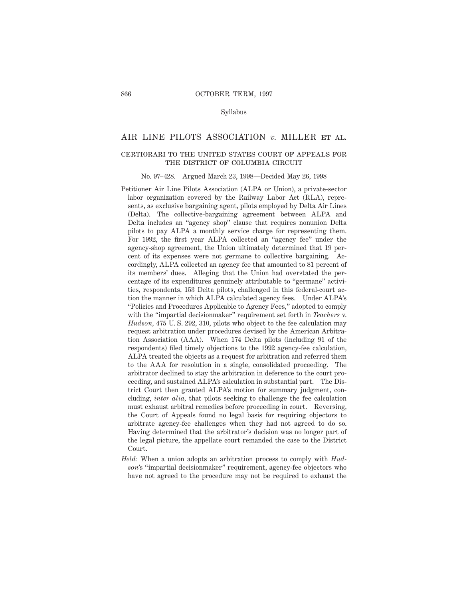### Syllabus

# AIR LINE PILOTS ASSOCIATION *v.* MILLER et al.

# certiorari to the united states court of appeals for THE DISTRICT OF COLUMBIA CIRCUIT

#### No. 97–428. Argued March 23, 1998—Decided May 26, 1998

- Petitioner Air Line Pilots Association (ALPA or Union), a private-sector labor organization covered by the Railway Labor Act (RLA), represents, as exclusive bargaining agent, pilots employed by Delta Air Lines (Delta). The collective-bargaining agreement between ALPA and Delta includes an "agency shop" clause that requires nonunion Delta pilots to pay ALPA a monthly service charge for representing them. For 1992, the first year ALPA collected an "agency fee" under the agency-shop agreement, the Union ultimately determined that 19 percent of its expenses were not germane to collective bargaining. Accordingly, ALPA collected an agency fee that amounted to 81 percent of its members' dues. Alleging that the Union had overstated the percentage of its expenditures genuinely attributable to "germane" activities, respondents, 153 Delta pilots, challenged in this federal-court action the manner in which ALPA calculated agency fees. Under ALPA's "Policies and Procedures Applicable to Agency Fees," adopted to comply with the "impartial decisionmaker" requirement set forth in *Teachers* v. *Hudson,* 475 U. S. 292, 310, pilots who object to the fee calculation may request arbitration under procedures devised by the American Arbitration Association (AAA). When 174 Delta pilots (including 91 of the respondents) filed timely objections to the 1992 agency-fee calculation, ALPA treated the objects as a request for arbitration and referred them to the AAA for resolution in a single, consolidated proceeding. The arbitrator declined to stay the arbitration in deference to the court proceeding, and sustained ALPA's calculation in substantial part. The District Court then granted ALPA's motion for summary judgment, concluding, *inter alia,* that pilots seeking to challenge the fee calculation must exhaust arbitral remedies before proceeding in court. Reversing, the Court of Appeals found no legal basis for requiring objectors to arbitrate agency-fee challenges when they had not agreed to do so. Having determined that the arbitrator's decision was no longer part of the legal picture, the appellate court remanded the case to the District Court.
- *Held:* When a union adopts an arbitration process to comply with *Hudson*'s "impartial decisionmaker" requirement, agency-fee objectors who have not agreed to the procedure may not be required to exhaust the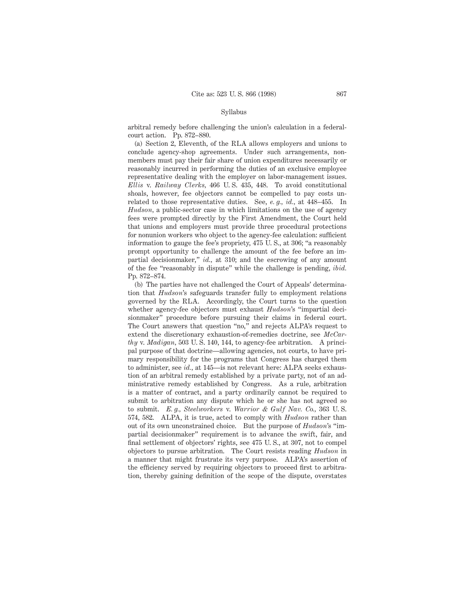### Syllabus

arbitral remedy before challenging the union's calculation in a federalcourt action. Pp. 872–880.

(a) Section 2, Eleventh, of the RLA allows employers and unions to conclude agency-shop agreements. Under such arrangements, nonmembers must pay their fair share of union expenditures necessarily or reasonably incurred in performing the duties of an exclusive employee representative dealing with the employer on labor-management issues. *Ellis* v. *Railway Clerks,* 466 U. S. 435, 448. To avoid constitutional shoals, however, fee objectors cannot be compelled to pay costs unrelated to those representative duties. See, *e. g., id.,* at 448–455. In *Hudson,* a public-sector case in which limitations on the use of agency fees were prompted directly by the First Amendment, the Court held that unions and employers must provide three procedural protections for nonunion workers who object to the agency-fee calculation: sufficient information to gauge the fee's propriety, 475 U. S., at 306; "a reasonably prompt opportunity to challenge the amount of the fee before an impartial decisionmaker," *id.,* at 310; and the escrowing of any amount of the fee "reasonably in dispute" while the challenge is pending, *ibid.* Pp. 872–874.

(b) The parties have not challenged the Court of Appeals' determination that *Hudson*'s safeguards transfer fully to employment relations governed by the RLA. Accordingly, the Court turns to the question whether agency-fee objectors must exhaust *Hudson*'s "impartial decisionmaker" procedure before pursuing their claims in federal court. The Court answers that question "no," and rejects ALPA's request to extend the discretionary exhaustion-of-remedies doctrine, see *McCarthy* v. *Madigan,* 503 U. S. 140, 144, to agency-fee arbitration. A principal purpose of that doctrine—allowing agencies, not courts, to have primary responsibility for the programs that Congress has charged them to administer, see *id.,* at 145—is not relevant here: ALPA seeks exhaustion of an arbitral remedy established by a private party, not of an administrative remedy established by Congress. As a rule, arbitration is a matter of contract, and a party ordinarily cannot be required to submit to arbitration any dispute which he or she has not agreed so to submit. *E. g., Steelworkers* v. *Warrior & Gulf Nav. Co.,* 363 U. S. 574, 582. ALPA, it is true, acted to comply with *Hudson* rather than out of its own unconstrained choice. But the purpose of *Hudson*'s "impartial decisionmaker" requirement is to advance the swift, fair, and final settlement of objectors' rights, see 475 U. S., at 307, not to compel objectors to pursue arbitration. The Court resists reading *Hudson* in a manner that might frustrate its very purpose. ALPA's assertion of the efficiency served by requiring objectors to proceed first to arbitration, thereby gaining definition of the scope of the dispute, overstates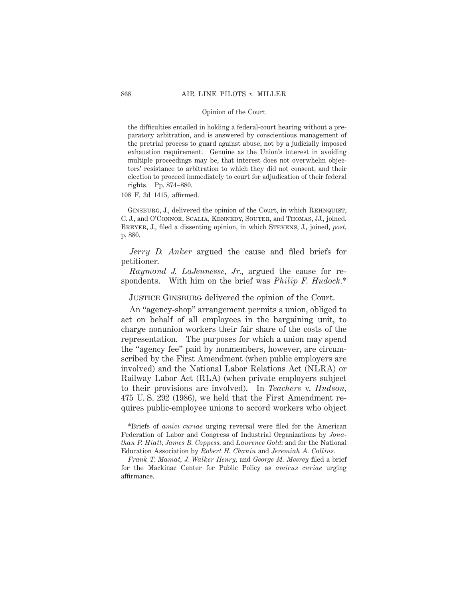the difficulties entailed in holding a federal-court hearing without a preparatory arbitration, and is answered by conscientious management of the pretrial process to guard against abuse, not by a judicially imposed exhaustion requirement. Genuine as the Union's interest in avoiding multiple proceedings may be, that interest does not overwhelm objectors' resistance to arbitration to which they did not consent, and their election to proceed immediately to court for adjudication of their federal rights. Pp. 874–880.

108 F. 3d 1415, affirmed.

Ginsburg, J., delivered the opinion of the Court, in which Rehnquist, C. J., and O'Connor, Scalia, Kennedy, Souter, and Thomas, JJ., joined. Breyer, J., filed a dissenting opinion, in which Stevens, J., joined, *post,* p. 880.

*Jerry D. Anker* argued the cause and filed briefs for petitioner.

*Raymond J. LaJeunesse, Jr.,* argued the cause for respondents. With him on the brief was *Philip F. Hudock.*\*

JUSTICE GINSBURG delivered the opinion of the Court.

An "agency-shop" arrangement permits a union, obliged to act on behalf of all employees in the bargaining unit, to charge nonunion workers their fair share of the costs of the representation. The purposes for which a union may spend the "agency fee" paid by nonmembers, however, are circumscribed by the First Amendment (when public employers are involved) and the National Labor Relations Act (NLRA) or Railway Labor Act (RLA) (when private employers subject to their provisions are involved). In *Teachers* v. *Hudson,* 475 U. S. 292 (1986), we held that the First Amendment requires public-employee unions to accord workers who object

<sup>\*</sup>Briefs of *amici curiae* urging reversal were filed for the American Federation of Labor and Congress of Industrial Organizations by *Jonathan P. Hiatt, James B. Coppess,* and *Laurence Gold;* and for the National Education Association by *Robert H. Chanin* and *Jeremiah A. Collins.*

*Frank T. Mamat, J. Walker Henry,* and *George M. Mesrey* filed a brief for the Mackinac Center for Public Policy as *amicus curiae* urging affirmance.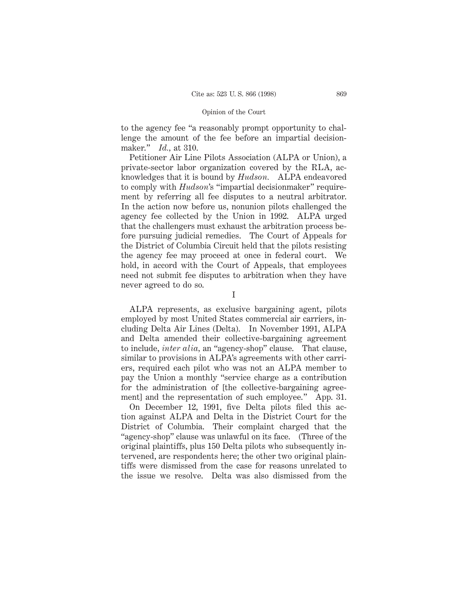to the agency fee "a reasonably prompt opportunity to challenge the amount of the fee before an impartial decisionmaker." *Id.,* at 310.

Petitioner Air Line Pilots Association (ALPA or Union), a private-sector labor organization covered by the RLA, acknowledges that it is bound by *Hudson.* ALPA endeavored to comply with *Hudson*'s "impartial decisionmaker" requirement by referring all fee disputes to a neutral arbitrator. In the action now before us, nonunion pilots challenged the agency fee collected by the Union in 1992. ALPA urged that the challengers must exhaust the arbitration process before pursuing judicial remedies. The Court of Appeals for the District of Columbia Circuit held that the pilots resisting the agency fee may proceed at once in federal court. We hold, in accord with the Court of Appeals, that employees need not submit fee disputes to arbitration when they have never agreed to do so.

I

ALPA represents, as exclusive bargaining agent, pilots employed by most United States commercial air carriers, including Delta Air Lines (Delta). In November 1991, ALPA and Delta amended their collective-bargaining agreement to include, *inter alia,* an "agency-shop" clause. That clause, similar to provisions in ALPA's agreements with other carriers, required each pilot who was not an ALPA member to pay the Union a monthly "service charge as a contribution for the administration of [the collective-bargaining agreement] and the representation of such employee." App. 31.

On December 12, 1991, five Delta pilots filed this action against ALPA and Delta in the District Court for the District of Columbia. Their complaint charged that the "agency-shop" clause was unlawful on its face. (Three of the original plaintiffs, plus 150 Delta pilots who subsequently intervened, are respondents here; the other two original plaintiffs were dismissed from the case for reasons unrelated to the issue we resolve. Delta was also dismissed from the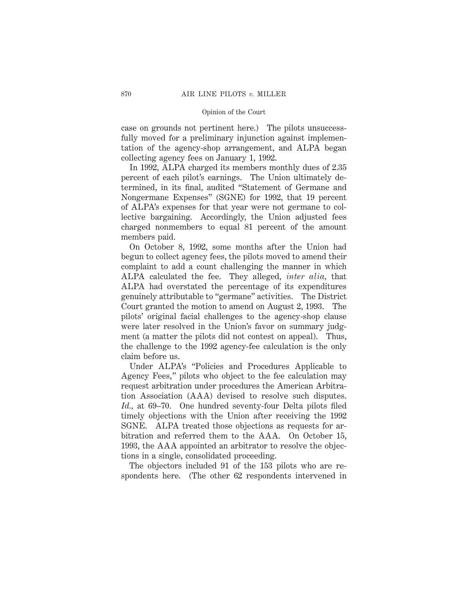case on grounds not pertinent here.) The pilots unsuccessfully moved for a preliminary injunction against implementation of the agency-shop arrangement, and ALPA began collecting agency fees on January 1, 1992.

In 1992, ALPA charged its members monthly dues of 2.35 percent of each pilot's earnings. The Union ultimately determined, in its final, audited "Statement of Germane and Nongermane Expenses" (SGNE) for 1992, that 19 percent of ALPA's expenses for that year were not germane to collective bargaining. Accordingly, the Union adjusted fees charged nonmembers to equal 81 percent of the amount members paid.

On October 8, 1992, some months after the Union had begun to collect agency fees, the pilots moved to amend their complaint to add a count challenging the manner in which ALPA calculated the fee. They alleged, *inter alia,* that ALPA had overstated the percentage of its expenditures genuinely attributable to "germane" activities. The District Court granted the motion to amend on August 2, 1993. The pilots' original facial challenges to the agency-shop clause were later resolved in the Union's favor on summary judgment (a matter the pilots did not contest on appeal). Thus, the challenge to the 1992 agency-fee calculation is the only claim before us.

Under ALPA's "Policies and Procedures Applicable to Agency Fees," pilots who object to the fee calculation may request arbitration under procedures the American Arbitration Association (AAA) devised to resolve such disputes. *Id.,* at 69–70. One hundred seventy-four Delta pilots filed timely objections with the Union after receiving the 1992 SGNE. ALPA treated those objections as requests for arbitration and referred them to the AAA. On October 15, 1993, the AAA appointed an arbitrator to resolve the objections in a single, consolidated proceeding.

The objectors included 91 of the 153 pilots who are respondents here. (The other 62 respondents intervened in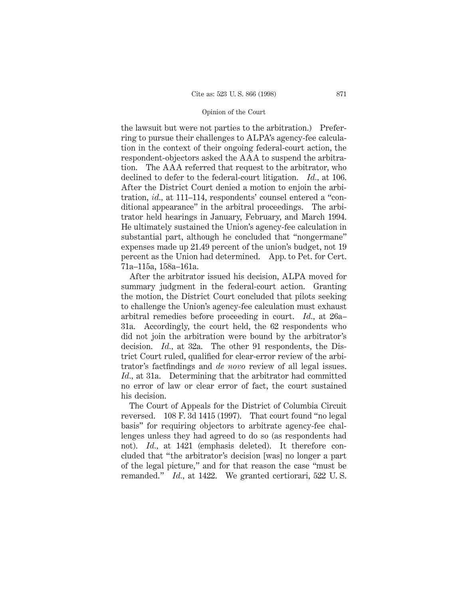the lawsuit but were not parties to the arbitration.) Preferring to pursue their challenges to ALPA's agency-fee calculation in the context of their ongoing federal-court action, the respondent-objectors asked the AAA to suspend the arbitration. The AAA referred that request to the arbitrator, who declined to defer to the federal-court litigation. *Id.,* at 106. After the District Court denied a motion to enjoin the arbitration, *id.,* at 111–114, respondents' counsel entered a "conditional appearance" in the arbitral proceedings. The arbitrator held hearings in January, February, and March 1994. He ultimately sustained the Union's agency-fee calculation in substantial part, although he concluded that "nongermane" expenses made up 21.49 percent of the union's budget, not 19 percent as the Union had determined. App. to Pet. for Cert. 71a–115a, 158a–161a.

After the arbitrator issued his decision, ALPA moved for summary judgment in the federal-court action. Granting the motion, the District Court concluded that pilots seeking to challenge the Union's agency-fee calculation must exhaust arbitral remedies before proceeding in court. *Id.,* at 26a– 31a. Accordingly, the court held, the 62 respondents who did not join the arbitration were bound by the arbitrator's decision. *Id.,* at 32a. The other 91 respondents, the District Court ruled, qualified for clear-error review of the arbitrator's factfindings and *de novo* review of all legal issues. *Id.,* at 31a. Determining that the arbitrator had committed no error of law or clear error of fact, the court sustained his decision.

The Court of Appeals for the District of Columbia Circuit reversed. 108 F. 3d 1415 (1997). That court found "no legal basis" for requiring objectors to arbitrate agency-fee challenges unless they had agreed to do so (as respondents had not). *Id.*, at 1421 (emphasis deleted). It therefore concluded that "the arbitrator's decision [was] no longer a part of the legal picture," and for that reason the case "must be remanded." *Id.,* at 1422. We granted certiorari, 522 U. S.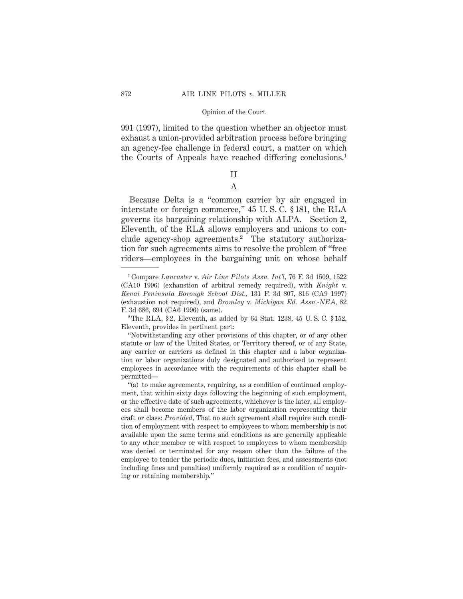991 (1997), limited to the question whether an objector must exhaust a union-provided arbitration process before bringing an agency-fee challenge in federal court, a matter on which the Courts of Appeals have reached differing conclusions.1

# II A

Because Delta is a "common carrier by air engaged in interstate or foreign commerce," 45 U. S. C. § 181, the RLA governs its bargaining relationship with ALPA. Section 2, Eleventh, of the RLA allows employers and unions to conclude agency-shop agreements.<sup>2</sup> The statutory authorization for such agreements aims to resolve the problem of "free riders—employees in the bargaining unit on whose behalf

<sup>1</sup> Compare *Lancaster* v. *Air Line Pilots Assn. Int'l,* 76 F. 3d 1509, 1522 (CA10 1996) (exhaustion of arbitral remedy required), with *Knight* v. *Kenai Peninsula Borough School Dist.,* 131 F. 3d 807, 816 (CA9 1997) (exhaustion not required), and *Bromley* v. *Michigan Ed. Assn.-NEA,* 82 F. 3d 686, 694 (CA6 1996) (same).

<sup>&</sup>lt;sup>2</sup> The RLA, §2, Eleventh, as added by 64 Stat. 1238, 45 U.S.C. §152, Eleventh, provides in pertinent part:

<sup>&</sup>quot;Notwithstanding any other provisions of this chapter, or of any other statute or law of the United States, or Territory thereof, or of any State, any carrier or carriers as defined in this chapter and a labor organization or labor organizations duly designated and authorized to represent employees in accordance with the requirements of this chapter shall be permitted—

<sup>&</sup>quot;(a) to make agreements, requiring, as a condition of continued employment, that within sixty days following the beginning of such employment, or the effective date of such agreements, whichever is the later, all employees shall become members of the labor organization representing their craft or class: *Provided,* That no such agreement shall require such condition of employment with respect to employees to whom membership is not available upon the same terms and conditions as are generally applicable to any other member or with respect to employees to whom membership was denied or terminated for any reason other than the failure of the employee to tender the periodic dues, initiation fees, and assessments (not including fines and penalties) uniformly required as a condition of acquiring or retaining membership."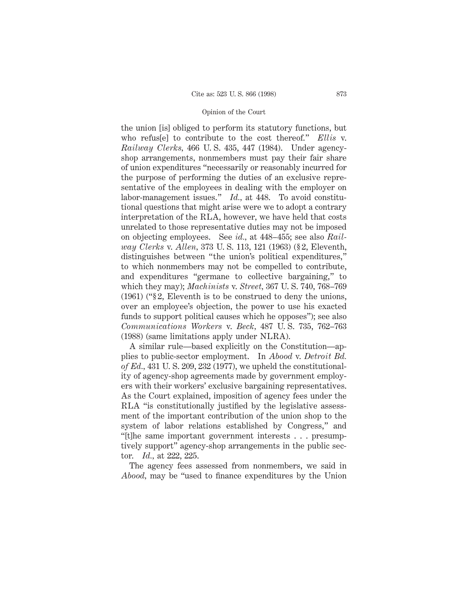the union [is] obliged to perform its statutory functions, but who refus[e] to contribute to the cost thereof." *Ellis* v. *Railway Clerks,* 466 U. S. 435, 447 (1984). Under agencyshop arrangements, nonmembers must pay their fair share of union expenditures "necessarily or reasonably incurred for the purpose of performing the duties of an exclusive representative of the employees in dealing with the employer on labor-management issues." *Id.,* at 448. To avoid constitutional questions that might arise were we to adopt a contrary interpretation of the RLA, however, we have held that costs unrelated to those representative duties may not be imposed on objecting employees. See *id.,* at 448–455; see also *Railway Clerks* v. *Allen,* 373 U. S. 113, 121 (1963) (§ 2, Eleventh, distinguishes between "the union's political expenditures," to which nonmembers may not be compelled to contribute, and expenditures "germane to collective bargaining," to which they may); *Machinists* v. *Street,* 367 U. S. 740, 768–769 (1961) ("§ 2, Eleventh is to be construed to deny the unions, over an employee's objection, the power to use his exacted funds to support political causes which he opposes"); see also *Communications Workers* v. *Beck,* 487 U. S. 735, 762–763 (1988) (same limitations apply under NLRA).

A similar rule—based explicitly on the Constitution—applies to public-sector employment. In *Abood* v. *Detroit Bd. of Ed.,* 431 U. S. 209, 232 (1977), we upheld the constitutionality of agency-shop agreements made by government employers with their workers' exclusive bargaining representatives. As the Court explained, imposition of agency fees under the RLA "is constitutionally justified by the legislative assessment of the important contribution of the union shop to the system of labor relations established by Congress," and "[t]he same important government interests . . . presumptively support" agency-shop arrangements in the public sector. *Id.,* at 222, 225.

The agency fees assessed from nonmembers, we said in *Abood,* may be "used to finance expenditures by the Union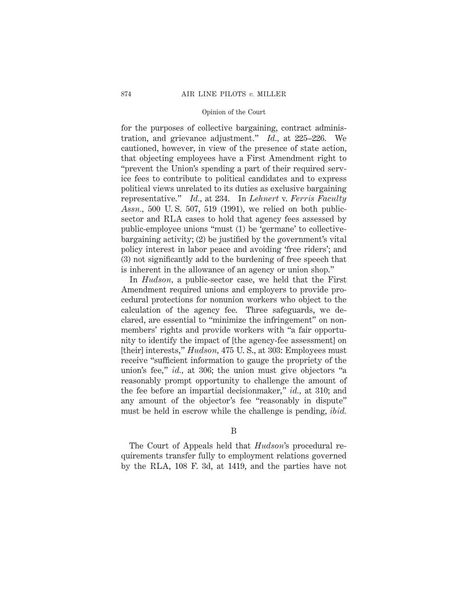for the purposes of collective bargaining, contract administration, and grievance adjustment." *Id.,* at 225–226. We cautioned, however, in view of the presence of state action, that objecting employees have a First Amendment right to "prevent the Union's spending a part of their required service fees to contribute to political candidates and to express political views unrelated to its duties as exclusive bargaining representative." *Id.,* at 234. In *Lehnert* v. *Ferris Faculty Assn.,* 500 U. S. 507, 519 (1991), we relied on both publicsector and RLA cases to hold that agency fees assessed by public-employee unions "must (1) be 'germane' to collectivebargaining activity; (2) be justified by the government's vital policy interest in labor peace and avoiding 'free riders'; and (3) not significantly add to the burdening of free speech that is inherent in the allowance of an agency or union shop."

In *Hudson,* a public-sector case, we held that the First Amendment required unions and employers to provide procedural protections for nonunion workers who object to the calculation of the agency fee. Three safeguards, we declared, are essential to "minimize the infringement" on nonmembers' rights and provide workers with "a fair opportunity to identify the impact of [the agency-fee assessment] on [their] interests," *Hudson,* 475 U. S., at 303: Employees must receive "sufficient information to gauge the propriety of the union's fee," *id.,* at 306; the union must give objectors "a reasonably prompt opportunity to challenge the amount of the fee before an impartial decisionmaker," *id.,* at 310; and any amount of the objector's fee "reasonably in dispute" must be held in escrow while the challenge is pending, *ibid.*

B

The Court of Appeals held that *Hudson*'s procedural requirements transfer fully to employment relations governed by the RLA, 108 F. 3d, at 1419, and the parties have not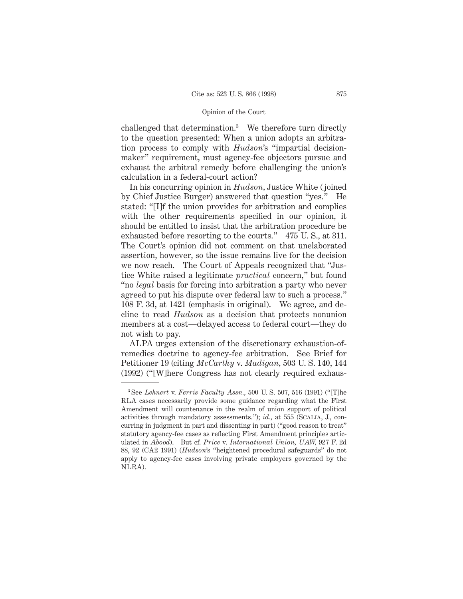challenged that determination.3 We therefore turn directly to the question presented: When a union adopts an arbitration process to comply with *Hudson*'s "impartial decisionmaker" requirement, must agency-fee objectors pursue and exhaust the arbitral remedy before challenging the union's calculation in a federal-court action?

In his concurring opinion in *Hudson,* Justice White (joined by Chief Justice Burger) answered that question "yes." He stated: "[I]f the union provides for arbitration and complies with the other requirements specified in our opinion, it should be entitled to insist that the arbitration procedure be exhausted before resorting to the courts." 475 U. S., at 311. The Court's opinion did not comment on that unelaborated assertion, however, so the issue remains live for the decision we now reach. The Court of Appeals recognized that "Justice White raised a legitimate *practical* concern," but found "no *legal* basis for forcing into arbitration a party who never agreed to put his dispute over federal law to such a process." 108 F. 3d, at 1421 (emphasis in original). We agree, and decline to read *Hudson* as a decision that protects nonunion members at a cost—delayed access to federal court—they do not wish to pay.

ALPA urges extension of the discretionary exhaustion-ofremedies doctrine to agency-fee arbitration. See Brief for Petitioner 19 (citing *McCarthy* v. *Madigan,* 503 U. S. 140, 144 (1992) ("[W]here Congress has not clearly required exhaus-

<sup>3</sup> See *Lehnert* v. *Ferris Faculty Assn.,* 500 U. S. 507, 516 (1991) ("[T]he RLA cases necessarily provide some guidance regarding what the First Amendment will countenance in the realm of union support of political activities through mandatory assessments."); *id.,* at 555 (Scalia, J., concurring in judgment in part and dissenting in part) ("good reason to treat" statutory agency-fee cases as reflecting First Amendment principles articulated in *Abood*). But cf. *Price* v. *International Union, UAW,* 927 F. 2d 88, 92 (CA2 1991) (*Hudson*'s "heightened procedural safeguards" do not apply to agency-fee cases involving private employers governed by the NLRA).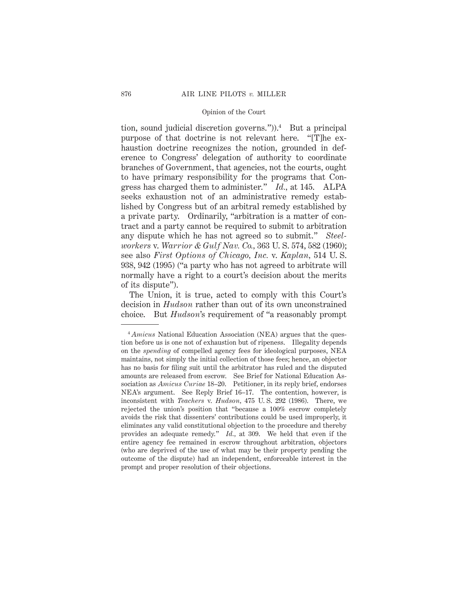tion, sound judicial discretion governs.")).<sup>4</sup> But a principal purpose of that doctrine is not relevant here. "[T]he exhaustion doctrine recognizes the notion, grounded in deference to Congress' delegation of authority to coordinate branches of Government, that agencies, not the courts, ought to have primary responsibility for the programs that Congress has charged them to administer." *Id.,* at 145. ALPA seeks exhaustion not of an administrative remedy established by Congress but of an arbitral remedy established by a private party. Ordinarily, "arbitration is a matter of contract and a party cannot be required to submit to arbitration any dispute which he has not agreed so to submit." *Steelworkers* v. *Warrior & Gulf Nav. Co.,* 363 U. S. 574, 582 (1960); see also *First Options of Chicago, Inc.* v. *Kaplan,* 514 U. S. 938, 942 (1995) ("a party who has not agreed to arbitrate will normally have a right to a court's decision about the merits of its dispute").

The Union, it is true, acted to comply with this Court's decision in *Hudson* rather than out of its own unconstrained choice. But *Hudson*'s requirement of "a reasonably prompt

<sup>4</sup> *Amicus* National Education Association (NEA) argues that the question before us is one not of exhaustion but of ripeness. Illegality depends on the *spending* of compelled agency fees for ideological purposes, NEA maintains, not simply the initial collection of those fees; hence, an objector has no basis for filing suit until the arbitrator has ruled and the disputed amounts are released from escrow. See Brief for National Education Association as *Amicus Curiae* 18–20. Petitioner, in its reply brief, endorses NEA's argument. See Reply Brief 16–17. The contention, however, is inconsistent with *Teachers* v. *Hudson,* 475 U. S. 292 (1986). There, we rejected the union's position that "because a 100% escrow completely avoids the risk that dissenters' contributions could be used improperly, it eliminates any valid constitutional objection to the procedure and thereby provides an adequate remedy." *Id.,* at 309. We held that even if the entire agency fee remained in escrow throughout arbitration, objectors (who are deprived of the use of what may be their property pending the outcome of the dispute) had an independent, enforceable interest in the prompt and proper resolution of their objections.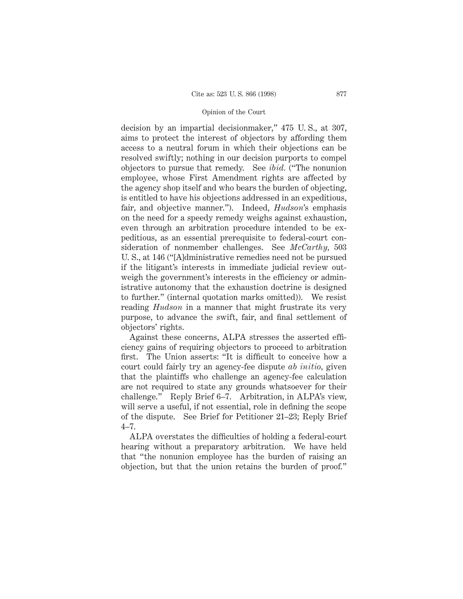decision by an impartial decisionmaker," 475 U. S., at 307, aims to protect the interest of objectors by affording them access to a neutral forum in which their objections can be resolved swiftly; nothing in our decision purports to compel objectors to pursue that remedy. See *ibid.* ("The nonunion employee, whose First Amendment rights are affected by the agency shop itself and who bears the burden of objecting, is entitled to have his objections addressed in an expeditious, fair, and objective manner."). Indeed, *Hudson*'s emphasis on the need for a speedy remedy weighs against exhaustion, even through an arbitration procedure intended to be expeditious, as an essential prerequisite to federal-court consideration of nonmember challenges. See *McCarthy,* 503 U. S., at 146 ("[A]dministrative remedies need not be pursued if the litigant's interests in immediate judicial review outweigh the government's interests in the efficiency or administrative autonomy that the exhaustion doctrine is designed to further." (internal quotation marks omitted)). We resist reading *Hudson* in a manner that might frustrate its very purpose, to advance the swift, fair, and final settlement of objectors' rights.

Against these concerns, ALPA stresses the asserted efficiency gains of requiring objectors to proceed to arbitration first. The Union asserts: "It is difficult to conceive how a court could fairly try an agency-fee dispute *ab initio,* given that the plaintiffs who challenge an agency-fee calculation are not required to state any grounds whatsoever for their challenge." Reply Brief 6–7. Arbitration, in ALPA's view, will serve a useful, if not essential, role in defining the scope of the dispute. See Brief for Petitioner 21–23; Reply Brief 4–7.

ALPA overstates the difficulties of holding a federal-court hearing without a preparatory arbitration. We have held that "the nonunion employee has the burden of raising an objection, but that the union retains the burden of proof."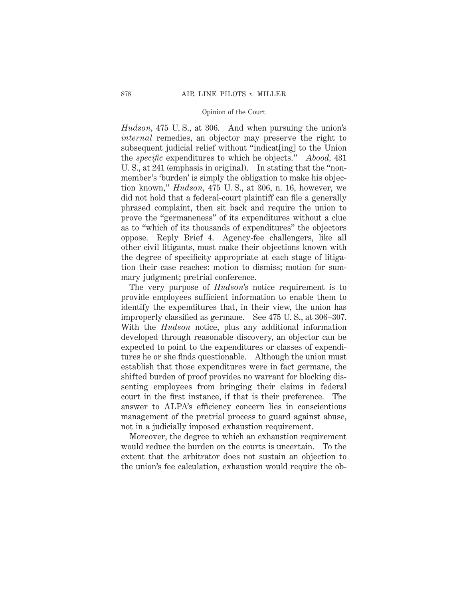*Hudson,* 475 U. S., at 306. And when pursuing the union's *internal* remedies, an objector may preserve the right to subsequent judicial relief without "indicat[ing] to the Union the *specific* expenditures to which he objects." *Abood,* 431 U. S., at 241 (emphasis in original). In stating that the "nonmember's 'burden' is simply the obligation to make his objection known," *Hudson,* 475 U. S., at 306, n. 16, however, we did not hold that a federal-court plaintiff can file a generally phrased complaint, then sit back and require the union to prove the "germaneness" of its expenditures without a clue as to "which of its thousands of expenditures" the objectors oppose. Reply Brief 4. Agency-fee challengers, like all other civil litigants, must make their objections known with the degree of specificity appropriate at each stage of litigation their case reaches: motion to dismiss; motion for summary judgment; pretrial conference.

The very purpose of *Hudson*'s notice requirement is to provide employees sufficient information to enable them to identify the expenditures that, in their view, the union has improperly classified as germane. See 475 U. S., at 306–307. With the *Hudson* notice, plus any additional information developed through reasonable discovery, an objector can be expected to point to the expenditures or classes of expenditures he or she finds questionable. Although the union must establish that those expenditures were in fact germane, the shifted burden of proof provides no warrant for blocking dissenting employees from bringing their claims in federal court in the first instance, if that is their preference. The answer to ALPA's efficiency concern lies in conscientious management of the pretrial process to guard against abuse, not in a judicially imposed exhaustion requirement.

Moreover, the degree to which an exhaustion requirement would reduce the burden on the courts is uncertain. To the extent that the arbitrator does not sustain an objection to the union's fee calculation, exhaustion would require the ob-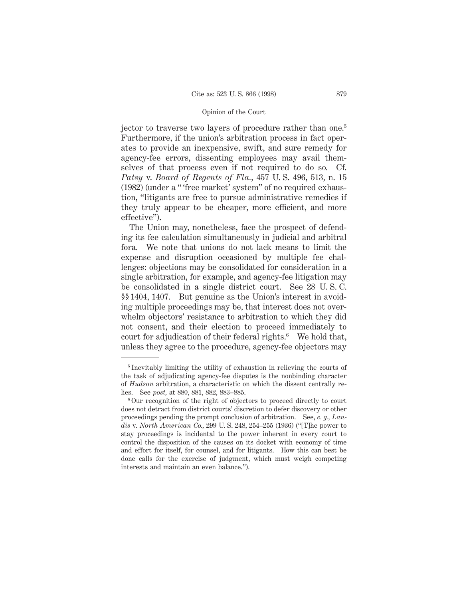jector to traverse two layers of procedure rather than one.<sup>5</sup> Furthermore, if the union's arbitration process in fact operates to provide an inexpensive, swift, and sure remedy for agency-fee errors, dissenting employees may avail themselves of that process even if not required to do so. Cf. *Patsy* v. *Board of Regents of Fla.,* 457 U. S. 496, 513, n. 15 (1982) (under a " 'free market' system" of no required exhaustion, "litigants are free to pursue administrative remedies if they truly appear to be cheaper, more efficient, and more effective").

The Union may, nonetheless, face the prospect of defending its fee calculation simultaneously in judicial and arbitral fora. We note that unions do not lack means to limit the expense and disruption occasioned by multiple fee challenges: objections may be consolidated for consideration in a single arbitration, for example, and agency-fee litigation may be consolidated in a single district court. See 28 U. S. C. §§ 1404, 1407. But genuine as the Union's interest in avoiding multiple proceedings may be, that interest does not overwhelm objectors' resistance to arbitration to which they did not consent, and their election to proceed immediately to court for adjudication of their federal rights.<sup>6</sup> We hold that, unless they agree to the procedure, agency-fee objectors may

<sup>5</sup> Inevitably limiting the utility of exhaustion in relieving the courts of the task of adjudicating agency-fee disputes is the nonbinding character of *Hudson* arbitration, a characteristic on which the dissent centrally relies. See *post,* at 880, 881, 882, 883–885.

<sup>6</sup> Our recognition of the right of objectors to proceed directly to court does not detract from district courts' discretion to defer discovery or other proceedings pending the prompt conclusion of arbitration. See, *e. g., Landis* v. *North American Co.,* 299 U. S. 248, 254–255 (1936) ("[T]he power to stay proceedings is incidental to the power inherent in every court to control the disposition of the causes on its docket with economy of time and effort for itself, for counsel, and for litigants. How this can best be done calls for the exercise of judgment, which must weigh competing interests and maintain an even balance.").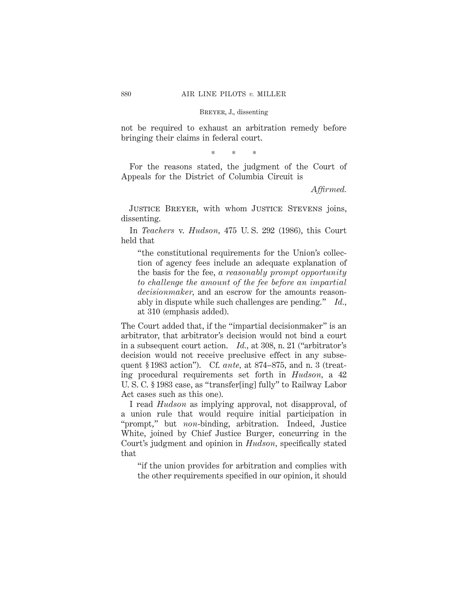not be required to exhaust an arbitration remedy before bringing their claims in federal court.

\*\*\*

For the reasons stated, the judgment of the Court of Appeals for the District of Columbia Circuit is

*Affirmed.*

JUSTICE BREYER, with whom JUSTICE STEVENS joins, dissenting.

In *Teachers* v. *Hudson,* 475 U. S. 292 (1986), this Court held that

"the constitutional requirements for the Union's collection of agency fees include an adequate explanation of the basis for the fee, *a reasonably prompt opportunity to challenge the amount of the fee before an impartial decisionmaker,* and an escrow for the amounts reasonably in dispute while such challenges are pending." *Id.,* at 310 (emphasis added).

The Court added that, if the "impartial decisionmaker" is an arbitrator, that arbitrator's decision would not bind a court in a subsequent court action. *Id.,* at 308, n. 21 ("arbitrator's decision would not receive preclusive effect in any subsequent § 1983 action"). Cf. *ante,* at 874–875, and n. 3 (treating procedural requirements set forth in *Hudson,* a 42 U. S. C. § 1983 case, as "transfer[ing] fully" to Railway Labor Act cases such as this one).

I read *Hudson* as implying approval, not disapproval, of a union rule that would require initial participation in "prompt," but *non*-binding, arbitration. Indeed, Justice White, joined by Chief Justice Burger, concurring in the Court's judgment and opinion in *Hudson,* specifically stated that

"if the union provides for arbitration and complies with the other requirements specified in our opinion, it should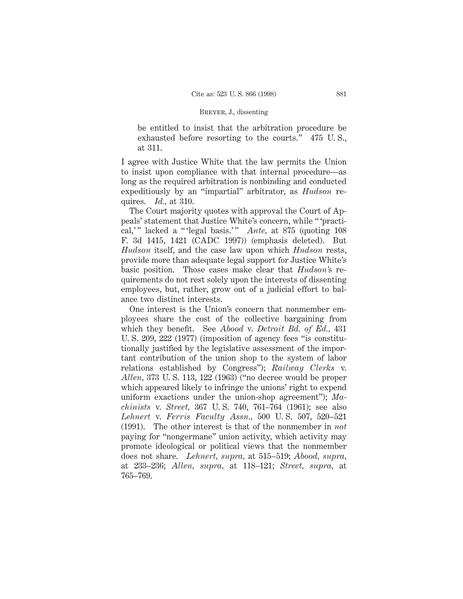be entitled to insist that the arbitration procedure be exhausted before resorting to the courts." 475 U. S., at 311.

I agree with Justice White that the law permits the Union to insist upon compliance with that internal procedure—as long as the required arbitration is nonbinding and conducted expeditiously by an "impartial" arbitrator, as *Hudson* requires. *Id.,* at 310.

The Court majority quotes with approval the Court of Appeals' statement that Justice White's concern, while " 'practical,'" lacked a "'legal basis.'" *Ante*, at 875 (quoting 108) F. 3d 1415, 1421 (CADC 1997)) (emphasis deleted). But *Hudson* itself, and the case law upon which *Hudson* rests, provide more than adequate legal support for Justice White's basic position. Those cases make clear that *Hudson'*s requirements do not rest solely upon the interests of dissenting employees, but, rather, grow out of a judicial effort to balance two distinct interests.

One interest is the Union's concern that nonmember employees share the cost of the collective bargaining from which they benefit. See *Abood* v. *Detroit Bd. of Ed.,* 431 U. S. 209, 222 (1977) (imposition of agency fees "is constitutionally justified by the legislative assessment of the important contribution of the union shop to the system of labor relations established by Congress"); *Railway Clerks* v. *Allen,* 373 U. S. 113, 122 (1963) ("no decree would be proper which appeared likely to infringe the unions' right to expend uniform exactions under the union-shop agreement"); *Machinists* v. *Street,* 367 U. S. 740, 761–764 (1961); see also *Lehnert* v. *Ferris Faculty Assn.,* 500 U. S. 507, 520–521 (1991). The other interest is that of the nonmember in *not* paying for "nongermane" union activity, which activity may promote ideological or political views that the nonmember does not share. *Lehnert, supra,* at 515–519; *Abood, supra,* at 233–236; *Allen, supra,* at 118–121; *Street, supra,* at 765–769.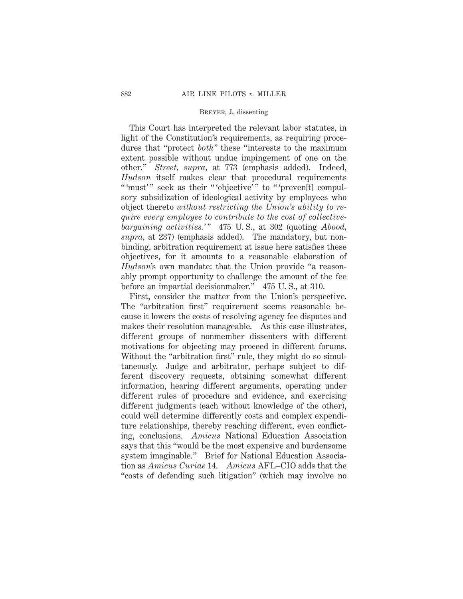This Court has interpreted the relevant labor statutes, in light of the Constitution's requirements, as requiring procedures that "protect *both"* these "interests to the maximum extent possible without undue impingement of one on the other." *Street, supra,* at 773 (emphasis added). Indeed, *Hudson* itself makes clear that procedural requirements "'must'" seek as their "'objective'" to "'preven[t] compulsory subsidization of ideological activity by employees who object thereto *without restricting the Union's ability to require every employee to contribute to the cost of collectivebargaining activities.' "* 475 U. S., at 302 (quoting *Abood, supra,* at 237) (emphasis added). The mandatory, but nonbinding, arbitration requirement at issue here satisfies these objectives, for it amounts to a reasonable elaboration of *Hudson*'s own mandate: that the Union provide "a reasonably prompt opportunity to challenge the amount of the fee before an impartial decisionmaker." 475 U. S., at 310.

First, consider the matter from the Union's perspective. The "arbitration first" requirement seems reasonable because it lowers the costs of resolving agency fee disputes and makes their resolution manageable. As this case illustrates, different groups of nonmember dissenters with different motivations for objecting may proceed in different forums. Without the "arbitration first" rule, they might do so simultaneously. Judge and arbitrator, perhaps subject to different discovery requests, obtaining somewhat different information, hearing different arguments, operating under different rules of procedure and evidence, and exercising different judgments (each without knowledge of the other), could well determine differently costs and complex expenditure relationships, thereby reaching different, even conflicting, conclusions. *Amicus* National Education Association says that this "would be the most expensive and burdensome system imaginable." Brief for National Education Association as *Amicus Curiae* 14. *Amicus* AFL–CIO adds that the "costs of defending such litigation" (which may involve no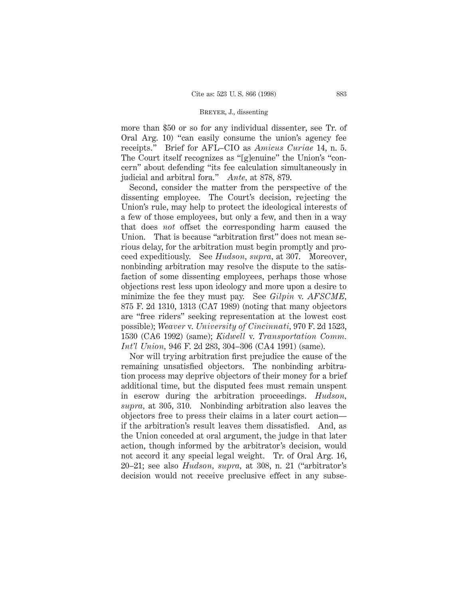more than \$50 or so for any individual dissenter, see Tr. of Oral Arg. 10) "can easily consume the union's agency fee receipts." Brief for AFL–CIO as *Amicus Curiae* 14, n. 5. The Court itself recognizes as "[g]enuine" the Union's "concern" about defending "its fee calculation simultaneously in judicial and arbitral fora." *Ante,* at 878, 879.

Second, consider the matter from the perspective of the dissenting employee. The Court's decision, rejecting the Union's rule, may help to protect the ideological interests of a few of those employees, but only a few, and then in a way that does *not* offset the corresponding harm caused the Union. That is because "arbitration first" does not mean serious delay, for the arbitration must begin promptly and proceed expeditiously. See *Hudson, supra,* at 307. Moreover, nonbinding arbitration may resolve the dispute to the satisfaction of some dissenting employees, perhaps those whose objections rest less upon ideology and more upon a desire to minimize the fee they must pay. See *Gilpin* v. *AFSCME,* 875 F. 2d 1310, 1313 (CA7 1989) (noting that many objectors are "free riders" seeking representation at the lowest cost possible); *Weaver* v. *University of Cincinnati,* 970 F. 2d 1523, 1530 (CA6 1992) (same); *Kidwell* v. *Transportation Comm. Int'l Union,* 946 F. 2d 283, 304–306 (CA4 1991) (same).

Nor will trying arbitration first prejudice the cause of the remaining unsatisfied objectors. The nonbinding arbitration process may deprive objectors of their money for a brief additional time, but the disputed fees must remain unspent in escrow during the arbitration proceedings. *Hudson, supra,* at 305, 310. Nonbinding arbitration also leaves the objectors free to press their claims in a later court action if the arbitration's result leaves them dissatisfied. And, as the Union conceded at oral argument, the judge in that later action, though informed by the arbitrator's decision, would not accord it any special legal weight. Tr. of Oral Arg. 16, 20–21; see also *Hudson, supra,* at 308, n. 21 ("arbitrator's decision would not receive preclusive effect in any subse-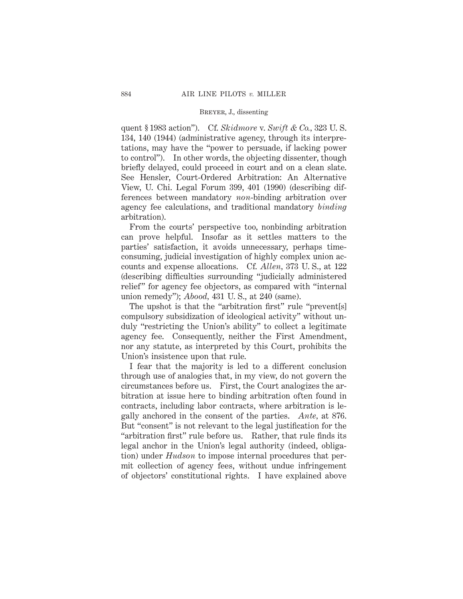quent § 1983 action"). Cf. *Skidmore* v. *Swift & Co.,* 323 U. S. 134, 140 (1944) (administrative agency, through its interpretations, may have the "power to persuade, if lacking power to control"). In other words, the objecting dissenter, though briefly delayed, could proceed in court and on a clean slate. See Hensler, Court-Ordered Arbitration: An Alternative View, U. Chi. Legal Forum 399, 401 (1990) (describing differences between mandatory *non*-binding arbitration over agency fee calculations, and traditional mandatory *binding* arbitration).

From the courts' perspective too, nonbinding arbitration can prove helpful. Insofar as it settles matters to the parties' satisfaction, it avoids unnecessary, perhaps timeconsuming, judicial investigation of highly complex union accounts and expense allocations. Cf. *Allen,* 373 U. S., at 122 (describing difficulties surrounding "judicially administered relief" for agency fee objectors, as compared with "internal union remedy"); *Abood,* 431 U. S., at 240 (same).

The upshot is that the "arbitration first" rule "prevent[s] compulsory subsidization of ideological activity" without unduly "restricting the Union's ability" to collect a legitimate agency fee. Consequently, neither the First Amendment, nor any statute, as interpreted by this Court, prohibits the Union's insistence upon that rule.

I fear that the majority is led to a different conclusion through use of analogies that, in my view, do not govern the circumstances before us. First, the Court analogizes the arbitration at issue here to binding arbitration often found in contracts, including labor contracts, where arbitration is legally anchored in the consent of the parties. *Ante,* at 876. But "consent" is not relevant to the legal justification for the "arbitration first" rule before us. Rather, that rule finds its legal anchor in the Union's legal authority (indeed, obligation) under *Hudson* to impose internal procedures that permit collection of agency fees, without undue infringement of objectors' constitutional rights. I have explained above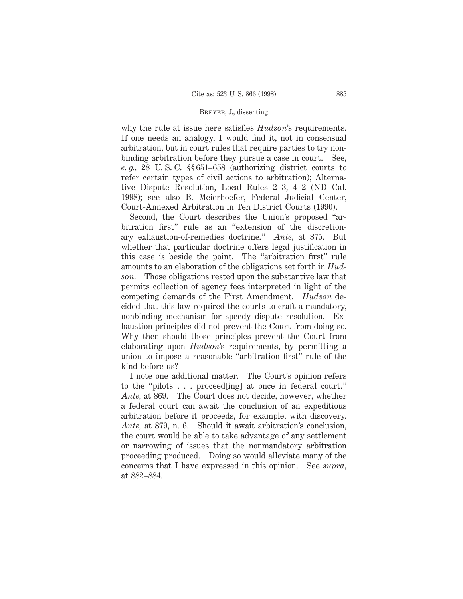why the rule at issue here satisfies *Hudson*'s requirements. If one needs an analogy, I would find it, not in consensual arbitration, but in court rules that require parties to try nonbinding arbitration before they pursue a case in court. See, *e. g.,* 28 U. S. C. §§ 651–658 (authorizing district courts to refer certain types of civil actions to arbitration); Alternative Dispute Resolution, Local Rules 2–3, 4–2 (ND Cal. 1998); see also B. Meierhoefer, Federal Judicial Center, Court-Annexed Arbitration in Ten District Courts (1990).

Second, the Court describes the Union's proposed "arbitration first" rule as an "extension of the discretionary exhaustion-of-remedies doctrine." *Ante,* at 875. But whether that particular doctrine offers legal justification in this case is beside the point. The "arbitration first" rule amounts to an elaboration of the obligations set forth in *Hudson.* Those obligations rested upon the substantive law that permits collection of agency fees interpreted in light of the competing demands of the First Amendment. *Hudson* decided that this law required the courts to craft a mandatory, nonbinding mechanism for speedy dispute resolution. Exhaustion principles did not prevent the Court from doing so. Why then should those principles prevent the Court from elaborating upon *Hudson*'s requirements, by permitting a union to impose a reasonable "arbitration first" rule of the kind before us?

I note one additional matter. The Court's opinion refers to the "pilots . . . proceed[ing] at once in federal court." *Ante,* at 869. The Court does not decide, however, whether a federal court can await the conclusion of an expeditious arbitration before it proceeds, for example, with discovery. *Ante,* at 879, n. 6. Should it await arbitration's conclusion, the court would be able to take advantage of any settlement or narrowing of issues that the nonmandatory arbitration proceeding produced. Doing so would alleviate many of the concerns that I have expressed in this opinion. See *supra,* at 882–884.